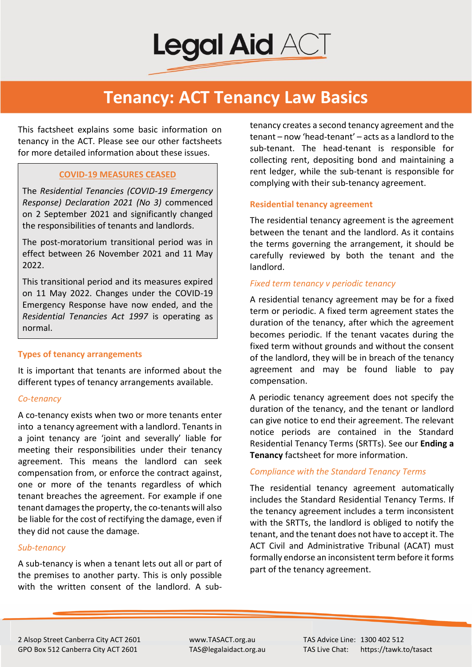

## **Tenancy: ACT Tenancy Law Basics**

This factsheet explains some basic information on tenancy in the ACT. Please see our other factsheets for more detailed information about these issues.

## **COVID-19 MEASURES CEASED**

The *Residential Tenancies (COVID-19 Emergency Response) Declaration 2021 (No 3)* commenced on 2 September 2021 and significantly changed the responsibilities of tenants and landlords.

The post-moratorium transitional period was in effect between 26 November 2021 and 11 May 2022.

This transitional period and its measures expired on 11 May 2022. Changes under the COVID-19 Emergency Response have now ended, and the *Residential Tenancies Act 1997* is operating as normal.

#### **Types of tenancy arrangements**

It is important that tenants are informed about the different types of tenancy arrangements available.

#### *Co-tenancy*

A co-tenancy exists when two or more tenants enter into a tenancy agreement with a landlord. Tenants in a joint tenancy are 'joint and severally' liable for meeting their responsibilities under their tenancy agreement. This means the landlord can seek compensation from, or enforce the contract against, one or more of the tenants regardless of which tenant breaches the agreement. For example if one tenant damages the property, the co-tenants will also be liable for the cost of rectifying the damage, even if they did not cause the damage.

#### *Sub-tenancy*

A sub-tenancy is when a tenant lets out all or part of the premises to another party. This is only possible with the written consent of the landlord. A subtenancy creates a second tenancy agreement and the tenant – now 'head-tenant' – acts as a landlord to the sub-tenant. The head-tenant is responsible for collecting rent, depositing bond and maintaining a rent ledger, while the sub-tenant is responsible for complying with their sub-tenancy agreement.

#### **Residential tenancy agreement**

The residential tenancy agreement is the agreement between the tenant and the landlord. As it contains the terms governing the arrangement, it should be carefully reviewed by both the tenant and the landlord.

### *Fixed term tenancy v periodic tenancy*

A residential tenancy agreement may be for a fixed term or periodic. A fixed term agreement states the duration of the tenancy, after which the agreement becomes periodic. If the tenant vacates during the fixed term without grounds and without the consent of the landlord, they will be in breach of the tenancy agreement and may be found liable to pay compensation.

A periodic tenancy agreement does not specify the duration of the tenancy, and the tenant or landlord can give notice to end their agreement. The relevant notice periods are contained in the Standard Residential Tenancy Terms (SRTTs). See our **Ending a Tenancy** factsheet for more information.

#### *Compliance with the Standard Tenancy Terms*

The residential tenancy agreement automatically includes the Standard Residential Tenancy Terms. If the tenancy agreement includes a term inconsistent with the SRTTs, the landlord is obliged to notify the tenant, and the tenant does not have to accept it. The ACT Civil and Administrative Tribunal (ACAT) must formally endorse an inconsistent term before it forms part of the tenancy agreement.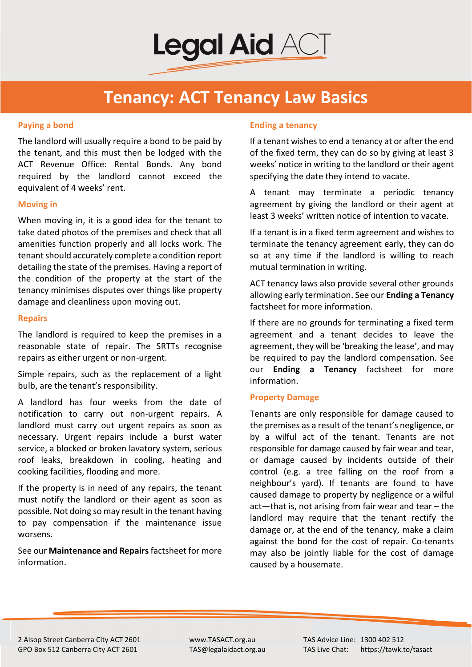

# **Tenancy: ACT Tenancy Law Basics**

### **Paying a bond**

The landlord will usually require a bond to be paid by the tenant, and this must then be lodged with the ACT Revenue Office: Rental Bonds. Any bond required by the landlord cannot exceed the equivalent of 4 weeks' rent.

#### **Moving in**

When moving in, it is a good idea for the tenant to take dated photos of the premises and check that all amenities function properly and all locks work. The tenant should accurately complete a condition report detailing the state of the premises. Having a report of the condition of the property at the start of the tenancy minimises disputes over things like property damage and cleanliness upon moving out.

## **Repairs**

The landlord is required to keep the premises in a reasonable state of repair. The SRTTs recognise repairs as either urgent or non-urgent.

Simple repairs, such as the replacement of a light bulb, are the tenant's responsibility.

A landlord has four weeks from the date of notification to carry out non-urgent repairs. A landlord must carry out urgent repairs as soon as necessary. Urgent repairs include a burst water service, a blocked or broken lavatory system, serious roof leaks, breakdown in cooling, heating and cooking facilities, flooding and more.

If the property is in need of any repairs, the tenant must notify the landlord or their agent as soon as possible. Not doing so may result in the tenant having to pay compensation if the maintenance issue worsens.

See our **Maintenance and Repairs** factsheet for more information.

## **Ending a tenancy**

If a tenant wishes to end a tenancy at or after the end of the fixed term, they can do so by giving at least 3 weeks' notice in writing to the landlord or their agent specifying the date they intend to vacate.

A tenant may terminate a periodic tenancy agreement by giving the landlord or their agent at least 3 weeks' written notice of intention to vacate.

If a tenant is in a fixed term agreement and wishes to terminate the tenancy agreement early, they can do so at any time if the landlord is willing to reach mutual termination in writing.

ACT tenancy laws also provide several other grounds allowing early termination. See our **Ending a Tenancy** factsheet for more information.

If there are no grounds for terminating a fixed term agreement and a tenant decides to leave the agreement, they will be 'breaking the lease', and may be required to pay the landlord compensation. See our **Ending a Tenancy** factsheet for more information.

#### **Property Damage**

Tenants are only responsible for damage caused to the premises as a result of the tenant's negligence, or by a wilful act of the tenant. Tenants are not responsible for damage caused by fair wear and tear, or damage caused by incidents outside of their control (e.g. a tree falling on the roof from a neighbour's yard). If tenants are found to have caused damage to property by negligence or a wilful act—that is, not arising from fair wear and tear – the landlord may require that the tenant rectify the damage or, at the end of the tenancy, make a claim against the bond for the cost of repair. Co-tenants may also be jointly liable for the cost of damage caused by a housemate.